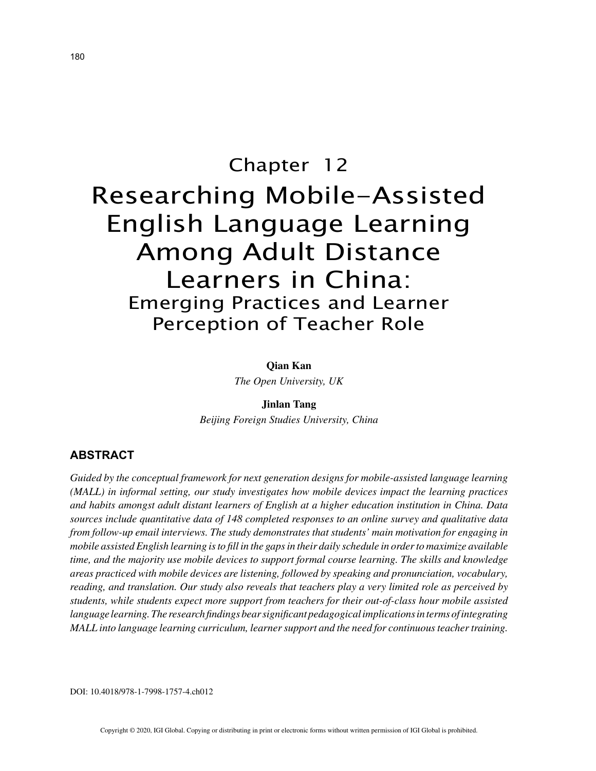# Chapter 12 Researching Mobile-Assisted English Language Learning Among Adult Distance Learners in China: Emerging Practices and Learner Perception of Teacher Role

**Qian Kan**

*The Open University, UK*

**Jinlan Tang** *Beijing Foreign Studies University, China*

# **ABSTRACT**

*Guided by the conceptual framework for next generation designs for mobile-assisted language learning (MALL) in informal setting, our study investigates how mobile devices impact the learning practices and habits amongst adult distant learners of English at a higher education institution in China. Data sources include quantitative data of 148 completed responses to an online survey and qualitative data from follow-up email interviews. The study demonstrates that students' main motivation for engaging in mobile assisted English learning is to fill in the gaps in their daily schedule in order to maximize available time, and the majority use mobile devices to support formal course learning. The skills and knowledge areas practiced with mobile devices are listening, followed by speaking and pronunciation, vocabulary, reading, and translation. Our study also reveals that teachers play a very limited role as perceived by students, while students expect more support from teachers for their out-of-class hour mobile assisted language learning. The research findings bear significant pedagogical implications in terms of integrating MALL into language learning curriculum, learner support and the need for continuous teacher training.*

DOI: 10.4018/978-1-7998-1757-4.ch012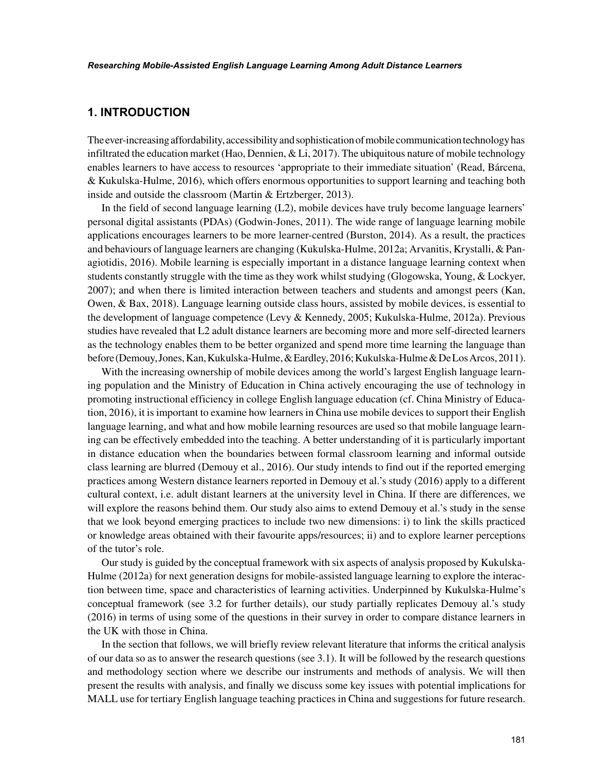## **1. INTRODUCTION**

The ever-increasing affordability, accessibility and sophistication of mobile communication technology has infiltrated the education market (Hao, Dennien,  $&$  Li, 2017). The ubiquitous nature of mobile technology enables learners to have access to resources 'appropriate to their immediate situation' (Read, Bárcena, & Kukulska-Hulme, 2016), which offers enormous opportunities to support learning and teaching both inside and outside the classroom (Martin & Ertzberger, 2013).

In the field of second language learning (L2), mobile devices have truly become language learners' personal digital assistants (PDAs) (Godwin-Jones, 2011). The wide range of language learning mobile applications encourages learners to be more learner-centred (Burston, 2014). As a result, the practices and behaviours of language learners are changing (Kukulska-Hulme, 2012a; Arvanitis, Krystalli, & Panagiotidis, 2016). Mobile learning is especially important in a distance language learning context when students constantly struggle with the time as they work whilst studying (Glogowska, Young, & Lockyer, 2007); and when there is limited interaction between teachers and students and amongst peers (Kan, Owen, & Bax, 2018). Language learning outside class hours, assisted by mobile devices, is essential to the development of language competence (Levy & Kennedy, 2005; Kukulska-Hulme, 2012a). Previous studies have revealed that L2 adult distance learners are becoming more and more self-directed learners as the technology enables them to be better organized and spend more time learning the language than before (Demouy, Jones, Kan, Kukulska-Hulme, & Eardley, 2016; Kukulska-Hulme & De Los Arcos, 2011).

With the increasing ownership of mobile devices among the world's largest English language learning population and the Ministry of Education in China actively encouraging the use of technology in promoting instructional efficiency in college English language education (cf. China Ministry of Education, 2016), it is important to examine how learners in China use mobile devices to support their English language learning, and what and how mobile learning resources are used so that mobile language learning can be effectively embedded into the teaching. A better understanding of it is particularly important in distance education when the boundaries between formal classroom learning and informal outside class learning are blurred (Demouy et al., 2016). Our study intends to find out if the reported emerging practices among Western distance learners reported in Demouy et al.'s study (2016) apply to a different cultural context, i.e. adult distant learners at the university level in China. If there are differences, we will explore the reasons behind them. Our study also aims to extend Demouy et al.'s study in the sense that we look beyond emerging practices to include two new dimensions: i) to link the skills practiced or knowledge areas obtained with their favourite apps/resources; ii) and to explore learner perceptions of the tutor's role.

Our study is guided by the conceptual framework with six aspects of analysis proposed by Kukulska-Hulme (2012a) for next generation designs for mobile-assisted language learning to explore the interaction between time, space and characteristics of learning activities. Underpinned by Kukulska-Hulme's conceptual framework (see 3.2 for further details), our study partially replicates Demouy al.'s study (2016) in terms of using some of the questions in their survey in order to compare distance learners in the UK with those in China.

In the section that follows, we will briefly review relevant literature that informs the critical analysis of our data so as to answer the research questions (see 3.1). It will be followed by the research questions and methodology section where we describe our instruments and methods of analysis. We will then present the results with analysis, and finally we discuss some key issues with potential implications for MALL use for tertiary English language teaching practices in China and suggestions for future research.